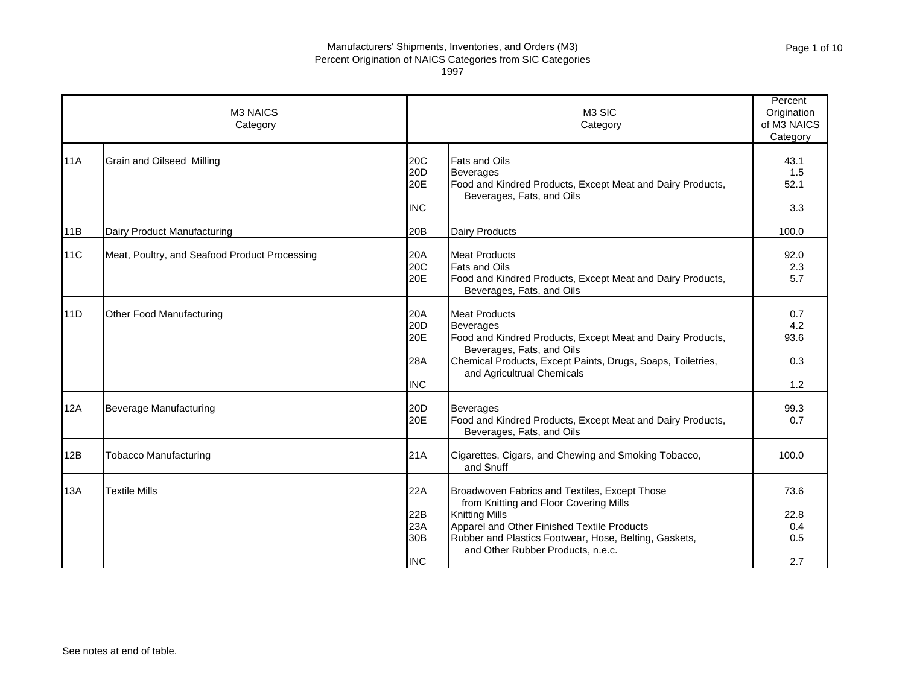## Manufacturers' Shipments, Inventories, and Orders (M3) Percent Origination of NAICS Categories from SIC Categories 1997

| <b>M3 NAICS</b><br>Category |                                               |                                        | M <sub>3</sub> SIC<br>Category                                                                                                                                                                                                                                |                                   |
|-----------------------------|-----------------------------------------------|----------------------------------------|---------------------------------------------------------------------------------------------------------------------------------------------------------------------------------------------------------------------------------------------------------------|-----------------------------------|
| 11A                         | Grain and Oilseed Milling                     | 20C<br>20D<br>20E<br><b>INC</b>        | <b>Fats and Oils</b><br><b>Beverages</b><br>Food and Kindred Products, Except Meat and Dairy Products,<br>Beverages, Fats, and Oils                                                                                                                           | 43.1<br>1.5<br>52.1<br>3.3        |
| 11B                         | Dairy Product Manufacturing                   | 20B                                    | <b>Dairy Products</b>                                                                                                                                                                                                                                         | 100.0                             |
| 11C                         | Meat, Poultry, and Seafood Product Processing | 20A<br>20C<br>20E                      | <b>Meat Products</b><br><b>Fats and Oils</b><br>Food and Kindred Products, Except Meat and Dairy Products,<br>Beverages, Fats, and Oils                                                                                                                       | 92.0<br>2.3<br>5.7                |
| 11D                         | Other Food Manufacturing                      | 20A<br>20D<br>20E<br>28A<br><b>INC</b> | <b>Meat Products</b><br><b>Beverages</b><br>Food and Kindred Products, Except Meat and Dairy Products,<br>Beverages, Fats, and Oils<br>Chemical Products, Except Paints, Drugs, Soaps, Toiletries,<br>and Agricultrual Chemicals                              | 0.7<br>4.2<br>93.6<br>0.3<br>1.2  |
| 12A                         | <b>Beverage Manufacturing</b>                 | 20 <sub>D</sub><br>20E                 | <b>Beverages</b><br>Food and Kindred Products, Except Meat and Dairy Products,<br>Beverages, Fats, and Oils                                                                                                                                                   | 99.3<br>0.7                       |
| 12B                         | <b>Tobacco Manufacturing</b>                  | 21A                                    | Cigarettes, Cigars, and Chewing and Smoking Tobacco,<br>and Snuff                                                                                                                                                                                             | 100.0                             |
| 13A                         | <b>Textile Mills</b>                          | 22A<br>22B<br>23A<br>30B<br><b>INC</b> | Broadwoven Fabrics and Textiles, Except Those<br>from Knitting and Floor Covering Mills<br><b>Knitting Mills</b><br>Apparel and Other Finished Textile Products<br>Rubber and Plastics Footwear, Hose, Belting, Gaskets,<br>and Other Rubber Products, n.e.c. | 73.6<br>22.8<br>0.4<br>0.5<br>2.7 |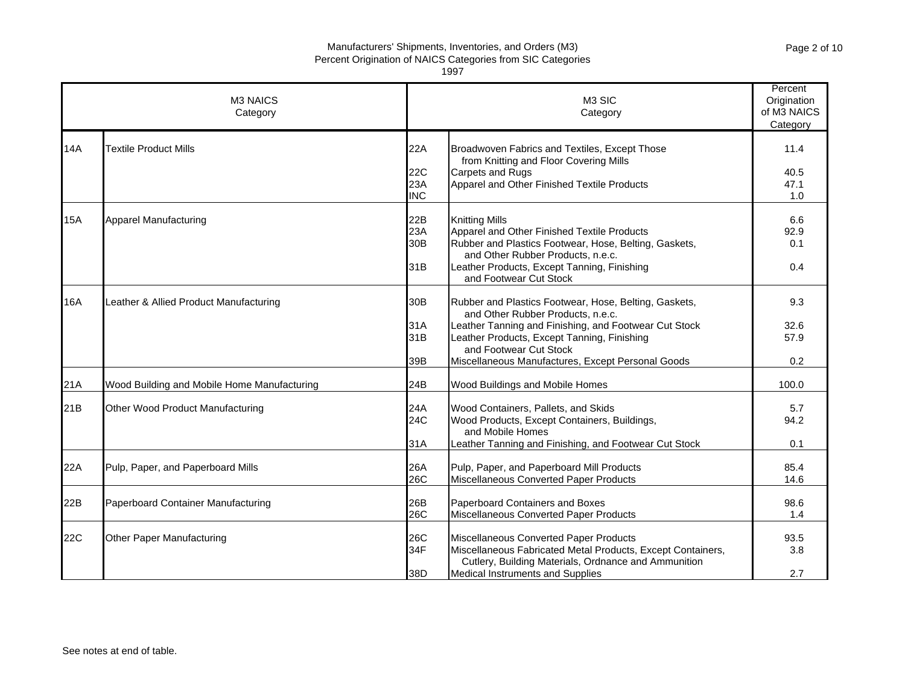|            | M3 NAICS<br>Category                        |                   | M <sub>3</sub> SIC<br>Category                                                                                                                                                                           | Percent<br>Origination<br>of M3 NAICS<br>Category |
|------------|---------------------------------------------|-------------------|----------------------------------------------------------------------------------------------------------------------------------------------------------------------------------------------------------|---------------------------------------------------|
| <b>14A</b> | <b>Textile Product Mills</b>                | 22A<br>22C<br>23A | Broadwoven Fabrics and Textiles, Except Those<br>from Knitting and Floor Covering Mills<br><b>Carpets and Rugs</b><br>Apparel and Other Finished Textile Products                                        | 11.4<br>40.5<br>47.1                              |
|            |                                             | <b>INC</b>        |                                                                                                                                                                                                          | 1.0                                               |
| <b>15A</b> | <b>Apparel Manufacturing</b>                | 22B<br>23A<br>30B | <b>Knitting Mills</b><br>Apparel and Other Finished Textile Products<br>Rubber and Plastics Footwear, Hose, Belting, Gaskets,<br>and Other Rubber Products, n.e.c.                                       | 6.6<br>92.9<br>0.1                                |
|            |                                             | 31B               | Leather Products, Except Tanning, Finishing<br>and Footwear Cut Stock                                                                                                                                    | 0.4                                               |
| <b>16A</b> | Leather & Allied Product Manufacturing      | 30B               | Rubber and Plastics Footwear, Hose, Belting, Gaskets,<br>and Other Rubber Products, n.e.c.                                                                                                               | 9.3                                               |
|            |                                             | 31A<br>31B        | Leather Tanning and Finishing, and Footwear Cut Stock<br>Leather Products, Except Tanning, Finishing<br>and Footwear Cut Stock                                                                           | 32.6<br>57.9                                      |
|            |                                             | 39B               | Miscellaneous Manufactures, Except Personal Goods                                                                                                                                                        | 0.2                                               |
| 21A        | Wood Building and Mobile Home Manufacturing | 24B               | Wood Buildings and Mobile Homes                                                                                                                                                                          | 100.0                                             |
| 21B        | Other Wood Product Manufacturing            | 24A<br><b>24C</b> | Wood Containers, Pallets, and Skids<br>Wood Products, Except Containers, Buildings,<br>and Mobile Homes                                                                                                  | 5.7<br>94.2                                       |
|            |                                             | 31A               | Leather Tanning and Finishing, and Footwear Cut Stock                                                                                                                                                    | 0.1                                               |
| 22A        | Pulp, Paper, and Paperboard Mills           | 26A<br>26C        | Pulp, Paper, and Paperboard Mill Products<br>Miscellaneous Converted Paper Products                                                                                                                      | 85.4<br>14.6                                      |
| 22B        | Paperboard Container Manufacturing          | 26B<br>26C        | Paperboard Containers and Boxes<br>Miscellaneous Converted Paper Products                                                                                                                                | 98.6<br>1.4                                       |
| <b>22C</b> | Other Paper Manufacturing                   | 26C<br>34F<br>38D | Miscellaneous Converted Paper Products<br>Miscellaneous Fabricated Metal Products, Except Containers,<br>Cutlery, Building Materials, Ordnance and Ammunition<br><b>Medical Instruments and Supplies</b> | 93.5<br>3.8<br>2.7                                |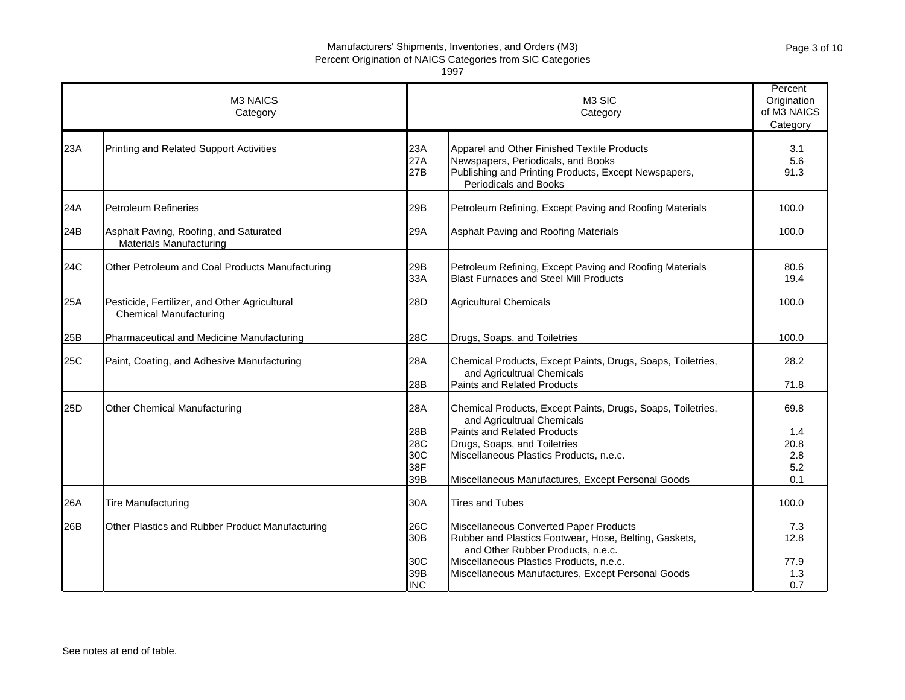## Percent Origination of NAICS Categories from SIC Categories

|     | <b>M3 NAICS</b><br>Category                                                    |                                        | M <sub>3</sub> SIC<br>Category                                                                                                                                                                                                                           | Percent<br>Origination<br>of M3 NAICS<br>Category |
|-----|--------------------------------------------------------------------------------|----------------------------------------|----------------------------------------------------------------------------------------------------------------------------------------------------------------------------------------------------------------------------------------------------------|---------------------------------------------------|
| 23A | Printing and Related Support Activities                                        | 23A<br>27A<br>27B                      | Apparel and Other Finished Textile Products<br>Newspapers, Periodicals, and Books<br>Publishing and Printing Products, Except Newspapers,<br><b>Periodicals and Books</b>                                                                                | 3.1<br>5.6<br>91.3                                |
| 24A | <b>Petroleum Refineries</b>                                                    | 29B                                    | Petroleum Refining, Except Paving and Roofing Materials                                                                                                                                                                                                  | 100.0                                             |
| 24B | Asphalt Paving, Roofing, and Saturated<br><b>Materials Manufacturing</b>       | 29A                                    | Asphalt Paving and Roofing Materials                                                                                                                                                                                                                     | 100.0                                             |
| 24C | Other Petroleum and Coal Products Manufacturing                                | 29B<br>33A                             | Petroleum Refining, Except Paving and Roofing Materials<br><b>Blast Furnaces and Steel Mill Products</b>                                                                                                                                                 | 80.6<br>19.4                                      |
| 25A | Pesticide, Fertilizer, and Other Agricultural<br><b>Chemical Manufacturing</b> | 28D                                    | <b>Agricultural Chemicals</b>                                                                                                                                                                                                                            | 100.0                                             |
| 25B | Pharmaceutical and Medicine Manufacturing                                      | 28C                                    | Drugs, Soaps, and Toiletries                                                                                                                                                                                                                             | 100.0                                             |
| 25C | Paint, Coating, and Adhesive Manufacturing                                     | 28A<br>28B                             | Chemical Products, Except Paints, Drugs, Soaps, Toiletries,<br>and Agricultrual Chemicals<br>Paints and Related Products                                                                                                                                 | 28.2<br>71.8                                      |
| 25D | Other Chemical Manufacturing                                                   | 28A<br>28B<br>28C<br>30C<br>38F<br>39B | Chemical Products, Except Paints, Drugs, Soaps, Toiletries,<br>and Agricultrual Chemicals<br>Paints and Related Products<br>Drugs, Soaps, and Toiletries<br>Miscellaneous Plastics Products, n.e.c.<br>Miscellaneous Manufactures, Except Personal Goods | 69.8<br>1.4<br>20.8<br>2.8<br>5.2<br>0.1          |
| 26A | <b>Tire Manufacturing</b>                                                      | 30A                                    | <b>Tires and Tubes</b>                                                                                                                                                                                                                                   | 100.0                                             |
| 26B | Other Plastics and Rubber Product Manufacturing                                | 26C<br>30B<br>30C<br>39B<br><b>INC</b> | <b>Miscellaneous Converted Paper Products</b><br>Rubber and Plastics Footwear, Hose, Belting, Gaskets,<br>and Other Rubber Products, n.e.c.<br>Miscellaneous Plastics Products, n.e.c.<br>Miscellaneous Manufactures, Except Personal Goods              | 7.3<br>12.8<br>77.9<br>1.3<br>0.7                 |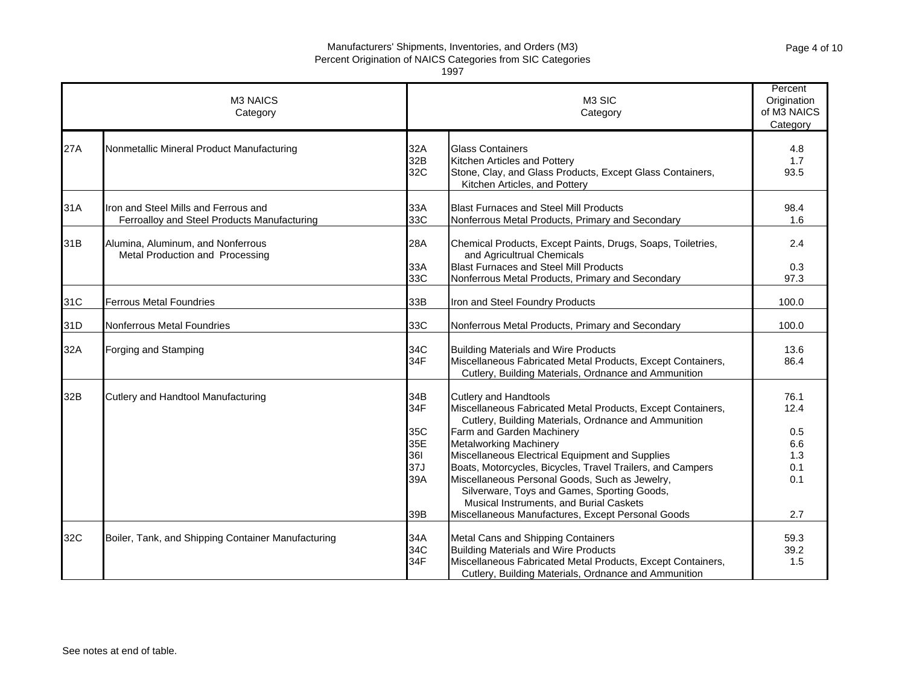## Percent Origination of NAICS Categories from SIC Categories

|     | <b>M3 NAICS</b><br>Category                                                         |                                                      | M <sub>3</sub> SIC<br>Category                                                                                                                                                                                                                                                                                                                                                                                                                                                                                                      | Percent<br>Origination<br>of M3 NAICS<br>Category      |
|-----|-------------------------------------------------------------------------------------|------------------------------------------------------|-------------------------------------------------------------------------------------------------------------------------------------------------------------------------------------------------------------------------------------------------------------------------------------------------------------------------------------------------------------------------------------------------------------------------------------------------------------------------------------------------------------------------------------|--------------------------------------------------------|
| 27A | Nonmetallic Mineral Product Manufacturing                                           | 32A<br>32B<br>32C                                    | <b>Glass Containers</b><br>Kitchen Articles and Pottery<br>Stone, Clay, and Glass Products, Except Glass Containers,<br>Kitchen Articles, and Pottery                                                                                                                                                                                                                                                                                                                                                                               | 4.8<br>1.7<br>93.5                                     |
| 31A | Iron and Steel Mills and Ferrous and<br>Ferroalloy and Steel Products Manufacturing | 33A<br>33C                                           | <b>Blast Furnaces and Steel Mill Products</b><br>Nonferrous Metal Products, Primary and Secondary                                                                                                                                                                                                                                                                                                                                                                                                                                   | 98.4<br>1.6                                            |
| 31B | Alumina, Aluminum, and Nonferrous<br>Metal Production and Processing                | 28A<br>33A<br>33C                                    | Chemical Products, Except Paints, Drugs, Soaps, Toiletries,<br>and Agricultrual Chemicals<br><b>Blast Furnaces and Steel Mill Products</b><br>Nonferrous Metal Products, Primary and Secondary                                                                                                                                                                                                                                                                                                                                      | 2.4<br>0.3<br>97.3                                     |
| 31C | <b>Ferrous Metal Foundries</b>                                                      | 33B                                                  | Iron and Steel Foundry Products                                                                                                                                                                                                                                                                                                                                                                                                                                                                                                     | 100.0                                                  |
| 31D | Nonferrous Metal Foundries                                                          | 33C                                                  | Nonferrous Metal Products, Primary and Secondary                                                                                                                                                                                                                                                                                                                                                                                                                                                                                    | 100.0                                                  |
| 32A | Forging and Stamping                                                                | 34C<br>34F                                           | <b>Building Materials and Wire Products</b><br>Miscellaneous Fabricated Metal Products, Except Containers,<br>Cutlery, Building Materials, Ordnance and Ammunition                                                                                                                                                                                                                                                                                                                                                                  | 13.6<br>86.4                                           |
| 32B | Cutlery and Handtool Manufacturing                                                  | 34B<br>34F<br>35C<br>35E<br>361<br>37J<br>39A<br>39B | <b>Cutlery and Handtools</b><br>Miscellaneous Fabricated Metal Products, Except Containers,<br>Cutlery, Building Materials, Ordnance and Ammunition<br>Farm and Garden Machinery<br><b>Metalworking Machinery</b><br>Miscellaneous Electrical Equipment and Supplies<br>Boats, Motorcycles, Bicycles, Travel Trailers, and Campers<br>Miscellaneous Personal Goods, Such as Jewelry,<br>Silverware, Toys and Games, Sporting Goods,<br>Musical Instruments, and Burial Caskets<br>Miscellaneous Manufactures, Except Personal Goods | 76.1<br>12.4<br>0.5<br>6.6<br>1.3<br>0.1<br>0.1<br>2.7 |
| 32C | Boiler, Tank, and Shipping Container Manufacturing                                  | 34A<br>34C<br>34F                                    | Metal Cans and Shipping Containers<br><b>Building Materials and Wire Products</b><br>Miscellaneous Fabricated Metal Products, Except Containers,<br>Cutlery, Building Materials, Ordnance and Ammunition                                                                                                                                                                                                                                                                                                                            | 59.3<br>39.2<br>1.5                                    |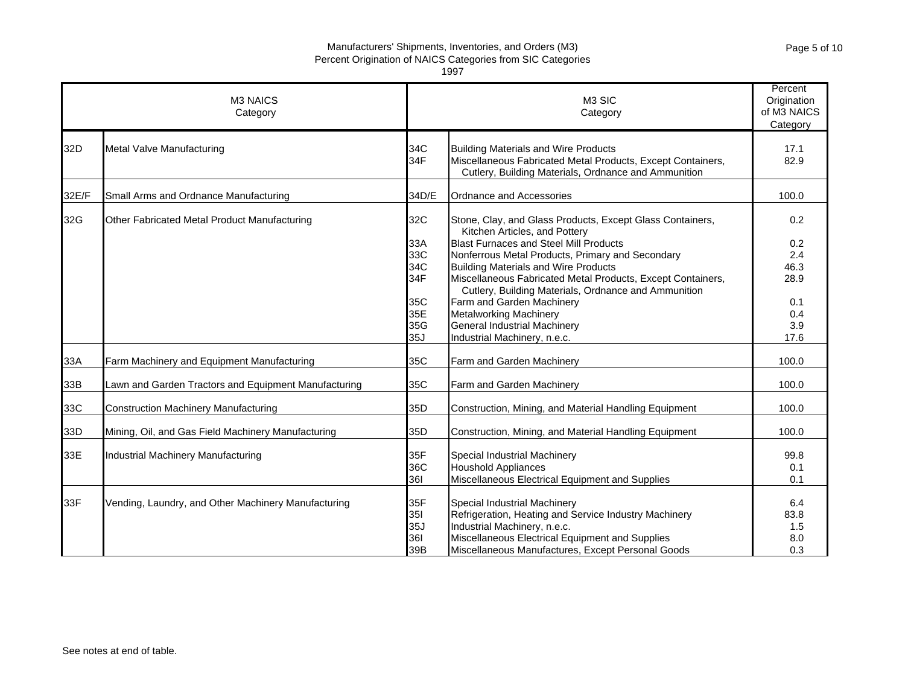## Percent Origination of NAICS Categories from SIC Categories

|       | M3 NAICS<br>Category                                 |                                                             | M <sub>3</sub> SIC<br>Category                                                                                                                                                                                                                                                                                                                                                                                                                                                                             | Percent<br>Origination<br>of M3 NAICS<br>Category              |
|-------|------------------------------------------------------|-------------------------------------------------------------|------------------------------------------------------------------------------------------------------------------------------------------------------------------------------------------------------------------------------------------------------------------------------------------------------------------------------------------------------------------------------------------------------------------------------------------------------------------------------------------------------------|----------------------------------------------------------------|
| 32D   | <b>Metal Valve Manufacturing</b>                     | 34C<br>34F                                                  | <b>Building Materials and Wire Products</b><br>Miscellaneous Fabricated Metal Products, Except Containers,<br>Cutlery, Building Materials, Ordnance and Ammunition                                                                                                                                                                                                                                                                                                                                         | 17.1<br>82.9                                                   |
| 32E/F | Small Arms and Ordnance Manufacturing                | 34D/E                                                       | Ordnance and Accessories                                                                                                                                                                                                                                                                                                                                                                                                                                                                                   | 100.0                                                          |
| 32G   | Other Fabricated Metal Product Manufacturing         | 32C<br>33A<br>33C<br>34C<br>34F<br>35C<br>35E<br>35G<br>35J | Stone, Clay, and Glass Products, Except Glass Containers,<br>Kitchen Articles, and Pottery<br><b>Blast Furnaces and Steel Mill Products</b><br>Nonferrous Metal Products, Primary and Secondary<br><b>Building Materials and Wire Products</b><br>Miscellaneous Fabricated Metal Products, Except Containers,<br>Cutlery, Building Materials, Ordnance and Ammunition<br>Farm and Garden Machinery<br><b>Metalworking Machinery</b><br><b>General Industrial Machinery</b><br>Industrial Machinery, n.e.c. | 0.2<br>0.2<br>2.4<br>46.3<br>28.9<br>0.1<br>0.4<br>3.9<br>17.6 |
| 33A   | Farm Machinery and Equipment Manufacturing           | 35C                                                         | Farm and Garden Machinery                                                                                                                                                                                                                                                                                                                                                                                                                                                                                  | 100.0                                                          |
| 33B   | Lawn and Garden Tractors and Equipment Manufacturing | 35C                                                         | Farm and Garden Machinery                                                                                                                                                                                                                                                                                                                                                                                                                                                                                  | 100.0                                                          |
| 33C   | <b>Construction Machinery Manufacturing</b>          | 35D                                                         | Construction, Mining, and Material Handling Equipment                                                                                                                                                                                                                                                                                                                                                                                                                                                      | 100.0                                                          |
| 33D   | Mining, Oil, and Gas Field Machinery Manufacturing   | 35D                                                         | Construction, Mining, and Material Handling Equipment                                                                                                                                                                                                                                                                                                                                                                                                                                                      | 100.0                                                          |
| 33E   | Industrial Machinery Manufacturing                   | 35F<br>36C<br>361                                           | Special Industrial Machinery<br><b>Houshold Appliances</b><br>Miscellaneous Electrical Equipment and Supplies                                                                                                                                                                                                                                                                                                                                                                                              | 99.8<br>0.1<br>0.1                                             |
| 33F   | Vending, Laundry, and Other Machinery Manufacturing  | 35F<br><b>351</b><br>35J<br>361<br>39B                      | Special Industrial Machinery<br>Refrigeration, Heating and Service Industry Machinery<br>Industrial Machinery, n.e.c.<br>Miscellaneous Electrical Equipment and Supplies<br>Miscellaneous Manufactures, Except Personal Goods                                                                                                                                                                                                                                                                              | 6.4<br>83.8<br>1.5<br>8.0<br>0.3                               |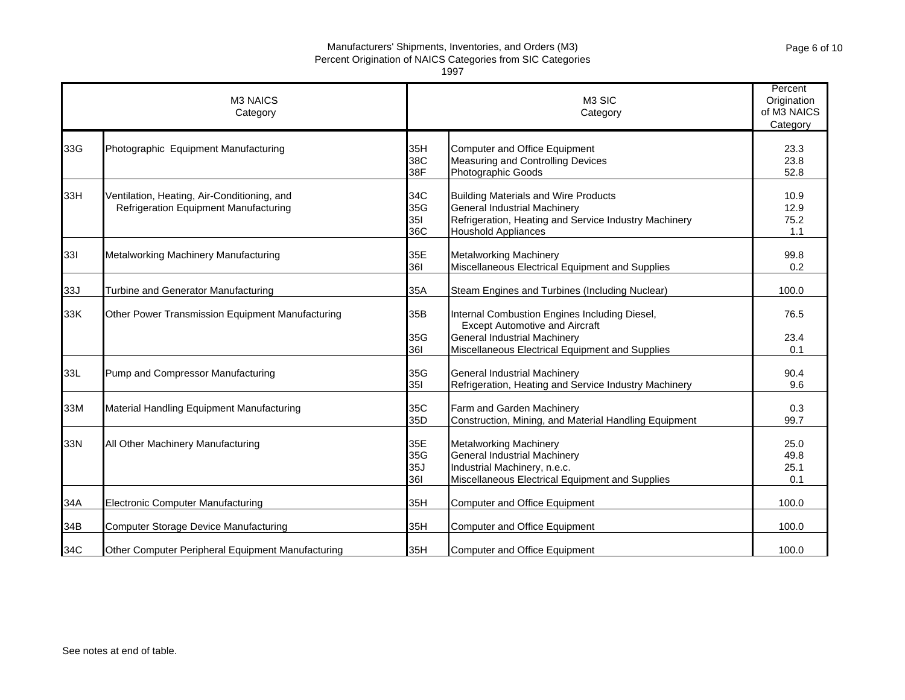Percent Origination of NAICS Categories from SIC Categories

| <b>M3 NAICS</b><br>Category |                                                                                             |                          | M <sub>3</sub> SIC<br>Category                                                                                                                                                   |                             |
|-----------------------------|---------------------------------------------------------------------------------------------|--------------------------|----------------------------------------------------------------------------------------------------------------------------------------------------------------------------------|-----------------------------|
| 33G                         | Photographic Equipment Manufacturing                                                        | 35H<br>38C<br>38F        | Computer and Office Equipment<br>Measuring and Controlling Devices<br>Photographic Goods                                                                                         | 23.3<br>23.8<br>52.8        |
| 33H                         | Ventilation, Heating, Air-Conditioning, and<br><b>Refrigeration Equipment Manufacturing</b> | 34C<br>35G<br>351<br>36C | <b>Building Materials and Wire Products</b><br><b>General Industrial Machinery</b><br>Refrigeration, Heating and Service Industry Machinery<br><b>Houshold Appliances</b>        | 10.9<br>12.9<br>75.2<br>1.1 |
| 331                         | Metalworking Machinery Manufacturing                                                        | 35F<br>361               | <b>Metalworking Machinery</b><br>Miscellaneous Electrical Equipment and Supplies                                                                                                 | 99.8<br>0.2                 |
| 33J                         | Turbine and Generator Manufacturing                                                         | 35A                      | Steam Engines and Turbines (Including Nuclear)                                                                                                                                   | 100.0                       |
| 33K                         | Other Power Transmission Equipment Manufacturing                                            | 35B<br>35G<br>361        | Internal Combustion Engines Including Diesel,<br><b>Except Automotive and Aircraft</b><br><b>General Industrial Machinery</b><br>Miscellaneous Electrical Equipment and Supplies | 76.5<br>23.4<br>0.1         |
| 33L                         | Pump and Compressor Manufacturing                                                           | 35G<br>351               | <b>General Industrial Machinery</b><br>Refrigeration, Heating and Service Industry Machinery                                                                                     | 90.4<br>9.6                 |
| 33M                         | Material Handling Equipment Manufacturing                                                   | 35C<br>35D               | Farm and Garden Machinery<br>Construction, Mining, and Material Handling Equipment                                                                                               | 0.3<br>99.7                 |
| 33N                         | All Other Machinery Manufacturing                                                           | 35E<br>35G<br>35J<br>361 | <b>Metalworking Machinery</b><br><b>General Industrial Machinery</b><br>Industrial Machinery, n.e.c.<br>Miscellaneous Electrical Equipment and Supplies                          | 25.0<br>49.8<br>25.1<br>0.1 |
| 34A                         | <b>Electronic Computer Manufacturing</b>                                                    | 35H                      | <b>Computer and Office Equipment</b>                                                                                                                                             | 100.0                       |
| 34B                         | <b>Computer Storage Device Manufacturing</b>                                                | 35H                      | Computer and Office Equipment                                                                                                                                                    | 100.0                       |
| 34C                         | Other Computer Peripheral Equipment Manufacturing                                           | 35H                      | Computer and Office Equipment                                                                                                                                                    | 100.0                       |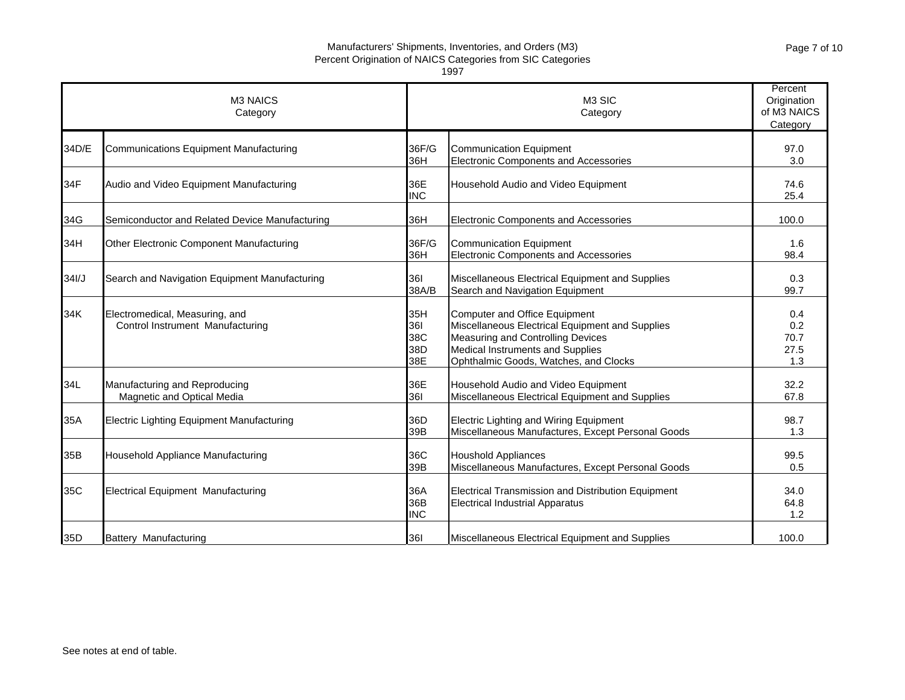Percent Origination of NAICS Categories from SIC Categories

|       | <b>M3 NAICS</b><br>Category                                        |                                 | M <sub>3</sub> SIC<br>Category                                                                                                                                                                     | Percent<br>Origination<br>of M3 NAICS<br>Category |
|-------|--------------------------------------------------------------------|---------------------------------|----------------------------------------------------------------------------------------------------------------------------------------------------------------------------------------------------|---------------------------------------------------|
| 34D/E | <b>Communications Equipment Manufacturing</b>                      | 36F/G<br>36H                    | <b>Communication Equipment</b><br><b>Electronic Components and Accessories</b>                                                                                                                     | 97.0<br>3.0                                       |
| 34F   | Audio and Video Equipment Manufacturing                            | 36E<br><b>INC</b>               | Household Audio and Video Equipment                                                                                                                                                                | 74.6<br>25.4                                      |
| 34G   | Semiconductor and Related Device Manufacturing                     | 36H                             | <b>Electronic Components and Accessories</b>                                                                                                                                                       | 100.0                                             |
| 34H   | Other Electronic Component Manufacturing                           | 36F/G<br>36H                    | <b>Communication Equipment</b><br><b>Electronic Components and Accessories</b>                                                                                                                     | 1.6<br>98.4                                       |
| 34I/J | Search and Navigation Equipment Manufacturing                      | 361<br>38A/B                    | Miscellaneous Electrical Equipment and Supplies<br>Search and Navigation Equipment                                                                                                                 | 0.3<br>99.7                                       |
| 34K   | Electromedical, Measuring, and<br>Control Instrument Manufacturing | 35H<br>361<br>38C<br>38D<br>38E | Computer and Office Equipment<br>Miscellaneous Electrical Equipment and Supplies<br>Measuring and Controlling Devices<br>Medical Instruments and Supplies<br>Ophthalmic Goods, Watches, and Clocks | 0.4<br>0.2<br>70.7<br>27.5<br>1.3                 |
| 34L   | Manufacturing and Reproducing<br>Magnetic and Optical Media        | 36E<br>361                      | Household Audio and Video Equipment<br>Miscellaneous Electrical Equipment and Supplies                                                                                                             | 32.2<br>67.8                                      |
| 35A   | <b>Electric Lighting Equipment Manufacturing</b>                   | 36D<br>39B                      | <b>Electric Lighting and Wiring Equipment</b><br>Miscellaneous Manufactures, Except Personal Goods                                                                                                 | 98.7<br>1.3                                       |
| 35B   | Household Appliance Manufacturing                                  | 36C<br>39B                      | <b>Houshold Appliances</b><br>Miscellaneous Manufactures, Except Personal Goods                                                                                                                    | 99.5<br>0.5                                       |
| 35C   | <b>Electrical Equipment Manufacturing</b>                          | 36A<br>36B<br><b>INC</b>        | Electrical Transmission and Distribution Equipment<br><b>Electrical Industrial Apparatus</b>                                                                                                       | 34.0<br>64.8<br>1.2                               |
| 35D   | Battery Manufacturing                                              | 361                             | Miscellaneous Electrical Equipment and Supplies                                                                                                                                                    | 100.0                                             |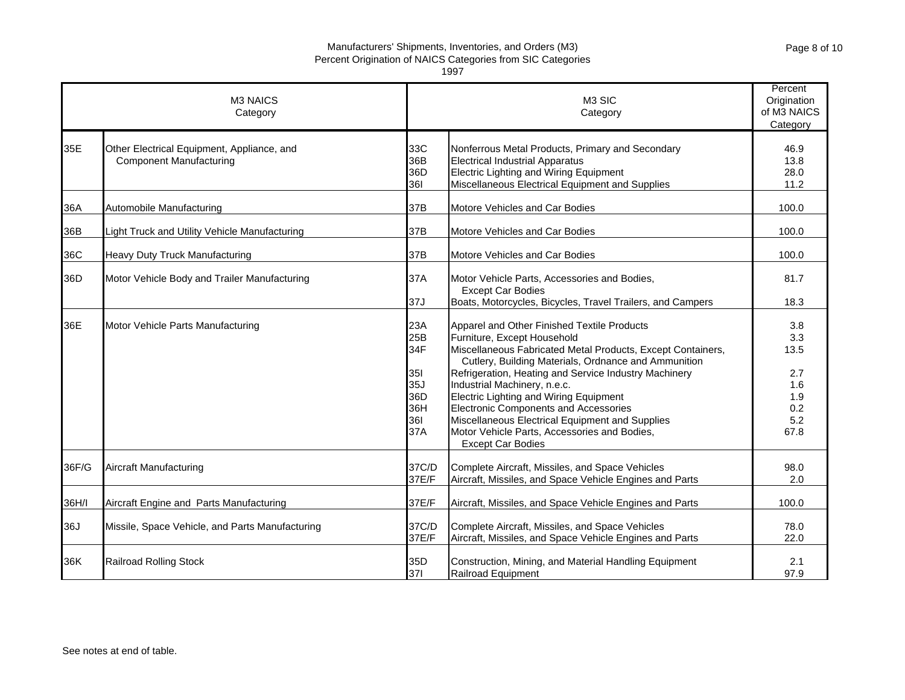Percent Origination of NAICS Categories from SIC Categories

|       | M3 NAICS<br>Category                                                         |                                                                    | M <sub>3</sub> SIC<br>Category                                                                                                                                                                                                                                                                                                                                                                                                                                                                                      | Percent<br>Origination<br>of M3 NAICS<br>Category             |
|-------|------------------------------------------------------------------------------|--------------------------------------------------------------------|---------------------------------------------------------------------------------------------------------------------------------------------------------------------------------------------------------------------------------------------------------------------------------------------------------------------------------------------------------------------------------------------------------------------------------------------------------------------------------------------------------------------|---------------------------------------------------------------|
| 35E   | Other Electrical Equipment, Appliance, and<br><b>Component Manufacturing</b> | 33C<br>36B<br>36D<br>361                                           | Nonferrous Metal Products, Primary and Secondary<br><b>Electrical Industrial Apparatus</b><br>Electric Lighting and Wiring Equipment<br>Miscellaneous Electrical Equipment and Supplies                                                                                                                                                                                                                                                                                                                             | 46.9<br>13.8<br>28.0<br>11.2                                  |
| 36A   | Automobile Manufacturing                                                     | 37B                                                                | Motore Vehicles and Car Bodies                                                                                                                                                                                                                                                                                                                                                                                                                                                                                      | 100.0                                                         |
| 36B   | Light Truck and Utility Vehicle Manufacturing                                | 37B                                                                | Motore Vehicles and Car Bodies                                                                                                                                                                                                                                                                                                                                                                                                                                                                                      | 100.0                                                         |
| 36C   | Heavy Duty Truck Manufacturing                                               | 37B                                                                | Motore Vehicles and Car Bodies                                                                                                                                                                                                                                                                                                                                                                                                                                                                                      | 100.0                                                         |
| 36D   | Motor Vehicle Body and Trailer Manufacturing                                 | 37A                                                                | Motor Vehicle Parts, Accessories and Bodies,<br><b>Except Car Bodies</b>                                                                                                                                                                                                                                                                                                                                                                                                                                            | 81.7                                                          |
|       |                                                                              | 37J                                                                | Boats, Motorcycles, Bicycles, Travel Trailers, and Campers                                                                                                                                                                                                                                                                                                                                                                                                                                                          | 18.3                                                          |
| 36E   | Motor Vehicle Parts Manufacturing                                            | 23A<br>25B<br>34F<br><b>351</b><br>35J<br>36D<br>36H<br>361<br>37A | Apparel and Other Finished Textile Products<br>Furniture, Except Household<br>Miscellaneous Fabricated Metal Products, Except Containers,<br>Cutlery, Building Materials, Ordnance and Ammunition<br>Refrigeration, Heating and Service Industry Machinery<br>Industrial Machinery, n.e.c.<br>Electric Lighting and Wiring Equipment<br><b>Electronic Components and Accessories</b><br>Miscellaneous Electrical Equipment and Supplies<br>Motor Vehicle Parts, Accessories and Bodies,<br><b>Except Car Bodies</b> | 3.8<br>3.3<br>13.5<br>2.7<br>1.6<br>1.9<br>0.2<br>5.2<br>67.8 |
| 36F/G | Aircraft Manufacturing                                                       | 37C/D<br>37E/F                                                     | Complete Aircraft, Missiles, and Space Vehicles<br>Aircraft, Missiles, and Space Vehicle Engines and Parts                                                                                                                                                                                                                                                                                                                                                                                                          | 98.0<br>2.0                                                   |
| 36H/I | Aircraft Engine and Parts Manufacturing                                      | 37E/F                                                              | Aircraft, Missiles, and Space Vehicle Engines and Parts                                                                                                                                                                                                                                                                                                                                                                                                                                                             | 100.0                                                         |
| 36J   | Missile, Space Vehicle, and Parts Manufacturing                              | 37C/D<br>37E/F                                                     | Complete Aircraft, Missiles, and Space Vehicles<br>Aircraft, Missiles, and Space Vehicle Engines and Parts                                                                                                                                                                                                                                                                                                                                                                                                          | 78.0<br>22.0                                                  |
| 36K   | <b>Railroad Rolling Stock</b>                                                | 35D<br>371                                                         | Construction, Mining, and Material Handling Equipment<br>Railroad Equipment                                                                                                                                                                                                                                                                                                                                                                                                                                         | 2.1<br>97.9                                                   |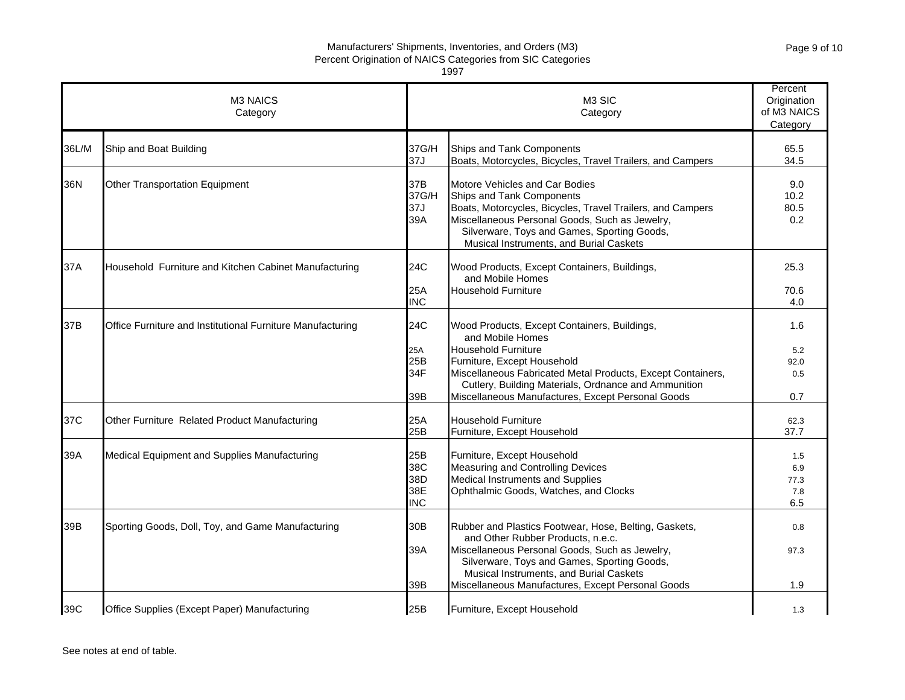Percent Origination of NAICS Categories from SIC Categories

|       | M <sub>3</sub> NAICS<br>Category                           |                                        | M <sub>3</sub> SIC<br>Category                                                                                                                                                                                                                                                                            | Percent<br>Origination<br>of M3 NAICS<br>Category |
|-------|------------------------------------------------------------|----------------------------------------|-----------------------------------------------------------------------------------------------------------------------------------------------------------------------------------------------------------------------------------------------------------------------------------------------------------|---------------------------------------------------|
| 36L/M | Ship and Boat Building                                     | 37G/H<br>37J                           | Ships and Tank Components<br>Boats, Motorcycles, Bicycles, Travel Trailers, and Campers                                                                                                                                                                                                                   | 65.5<br>34.5                                      |
| 36N   | Other Transportation Equipment                             | 37B<br>37G/H<br>37J<br>39A             | Motore Vehicles and Car Bodies<br>Ships and Tank Components<br>Boats, Motorcycles, Bicycles, Travel Trailers, and Campers<br>Miscellaneous Personal Goods, Such as Jewelry,<br>Silverware, Toys and Games, Sporting Goods,<br>Musical Instruments, and Burial Caskets                                     | 9.0<br>10.2<br>80.5<br>0.2                        |
| 37A   | Household Furniture and Kitchen Cabinet Manufacturing      | 24C<br>25A<br><b>INC</b>               | Wood Products, Except Containers, Buildings,<br>and Mobile Homes<br><b>Household Furniture</b>                                                                                                                                                                                                            | 25.3<br>70.6<br>4.0                               |
| 37B   | Office Furniture and Institutional Furniture Manufacturing | <b>24C</b><br>25A<br>25B<br>34F<br>39B | Wood Products, Except Containers, Buildings,<br>and Mobile Homes<br><b>Household Furniture</b><br>Furniture, Except Household<br>Miscellaneous Fabricated Metal Products, Except Containers,<br>Cutlery, Building Materials, Ordnance and Ammunition<br>Miscellaneous Manufactures, Except Personal Goods | 1.6<br>5.2<br>92.0<br>0.5<br>0.7                  |
| 37C   | Other Furniture Related Product Manufacturing              | 25A<br>25B                             | <b>Household Furniture</b><br>Furniture, Except Household                                                                                                                                                                                                                                                 | 62.3<br>37.7                                      |
| 39A   | Medical Equipment and Supplies Manufacturing               | 25B<br>38C<br>38D<br>38E<br><b>INC</b> | Furniture, Except Household<br>Measuring and Controlling Devices<br>Medical Instruments and Supplies<br>Ophthalmic Goods, Watches, and Clocks                                                                                                                                                             | 1.5<br>6.9<br>77.3<br>7.8<br>6.5                  |
| 39B   | Sporting Goods, Doll, Toy, and Game Manufacturing          | 30B<br>39A                             | Rubber and Plastics Footwear, Hose, Belting, Gaskets,<br>and Other Rubber Products, n.e.c.<br>Miscellaneous Personal Goods, Such as Jewelry,<br>Silverware, Toys and Games, Sporting Goods,<br>Musical Instruments, and Burial Caskets                                                                    | 0.8<br>97.3                                       |
| 39C   | Office Supplies (Except Paper) Manufacturing               | 39B<br>25B                             | Miscellaneous Manufactures, Except Personal Goods<br>Furniture, Except Household                                                                                                                                                                                                                          | 1.9<br>1.3                                        |